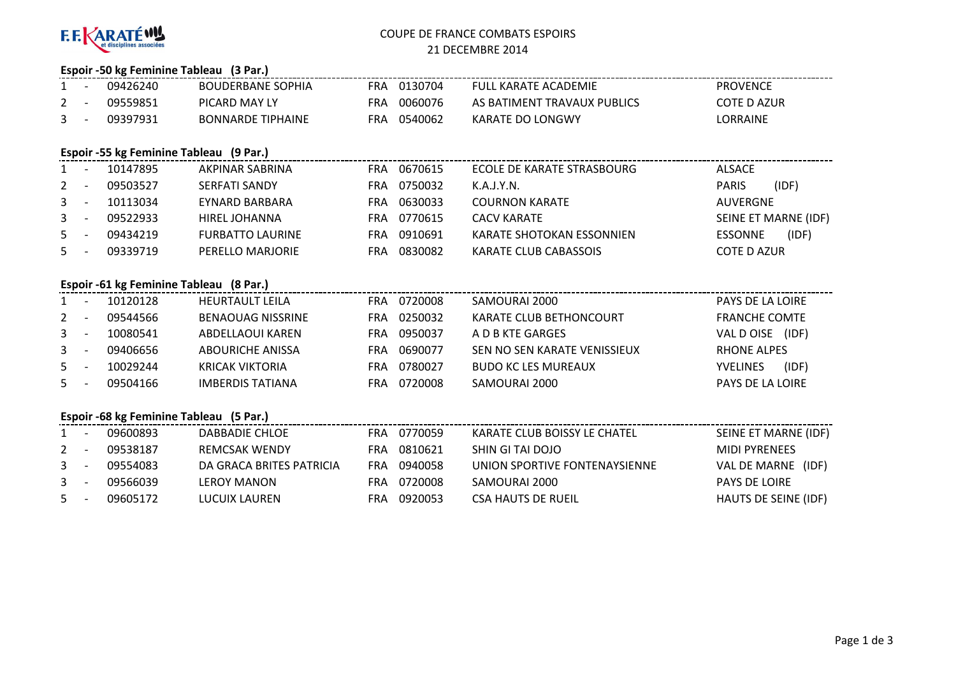

# COUPE DE FRANCE COMBATS ESPOIRS21 DECEMBRE 2014

# **Espoir -50 kg Feminine Tableau (3 Par.)**

| $1 -$        | 09426240 | <b>BOUDERBANE SOPHIA</b> | FRA        | 0130704 | FULL KARATE ACADEMIE        | <b>PROVENCE</b> |
|--------------|----------|--------------------------|------------|---------|-----------------------------|-----------------|
| $\mathbf{2}$ | 09559851 | PICARD MAY LY            | <b>FRA</b> | 0060076 | AS BATIMENT TRAVAUX PUBLICS | COTE D AZUR     |
| $\mathbf{3}$ | 09397931 | <b>BONNARDE TIPHAINE</b> | FRA        | 0540062 | KARATE DO LONGWY            | LORRAINE        |

# **Espoir -55 kg Feminine Tableau (9 Par.)**

| $1 \quad$ | 10147895 | AKPINAR SABRINA         | FRA | 0670615 | ECOLE DE KARATE STRASBOURG | ALSACE         |                      |
|-----------|----------|-------------------------|-----|---------|----------------------------|----------------|----------------------|
| $2 -$     | 09503527 | SERFATI SANDY           | FRA | 0750032 | K.A.J.Y.N.                 | <b>PARIS</b>   | (IDF)                |
| $3 -$     | 10113034 | EYNARD BARBARA          | FRA | 0630033 | <b>COURNON KARATE</b>      | AUVERGNE       |                      |
| $3 -$     | 09522933 | HIREL JOHANNA           | FRA | 0770615 | CACV KARATE                |                | SEINE ET MARNE (IDF) |
| $5 -$     | 09434219 | <b>FURBATTO LAURINE</b> | FRA | 0910691 | KARATE SHOTOKAN ESSONNIEN  | <b>ESSONNE</b> | (IDF)                |
| $5 -$     | 09339719 | PERELLO MARJORIE        | FRA | 0830082 | KARATE CLUB CABASSOIS      | COTE D AZUR    |                      |

# **Espoir -61 kg Feminine Tableau (8 Par.)**

|       | 10120128 | <b>HEURTAULT LEILA</b>   | FRA | 0720008 | SAMOURAI 2000                | PAYS DE LA LOIRE         |
|-------|----------|--------------------------|-----|---------|------------------------------|--------------------------|
| $2 -$ | 09544566 | <b>BENAOUAG NISSRINE</b> | FRA | 0250032 | KARATE CLUB BETHONCOURT      | <b>FRANCHE COMTE</b>     |
| $3 -$ | 10080541 | ABDELLAOUI KAREN         | FRA | 0950037 | A D B KTE GARGES             | VAL D OISE<br>(IDF)      |
| $3 -$ | 09406656 | ABOURICHE ANISSA         | FRA | 0690077 | SEN NO SEN KARATE VENISSIEUX | RHONE ALPES              |
| 5     | 10029244 | <b>KRICAK VIKTORIA</b>   | FRA | 0780027 | <b>BUDO KC LES MUREAUX</b>   | (IDF)<br><b>YVELINES</b> |
| $5 -$ | 09504166 | IMBERDIS TATIANA         | FRA | 0720008 | SAMOURAI 2000                | PAYS DE LA LOIRE         |

# **Espoir -68 kg Feminine Tableau (5 Par.)**

| 1       | 09600893 | DABBADIE CHLOE           | FRA | 0770059 | KARATE CLUB BOISSY LE CHATEL  | SEINE ET MARNE (IDF)        |
|---------|----------|--------------------------|-----|---------|-------------------------------|-----------------------------|
| $2 -$   | 09538187 | <b>REMCSAK WENDY</b>     | FRA | 0810621 | SHIN GI TAI DOJO              | MIDI PYRENEES               |
| $3 - 1$ | 09554083 | DA GRACA BRITES PATRICIA | FRA | 0940058 | UNION SPORTIVE FONTENAYSIENNE | VAL DE MARNE (IDF)          |
| $3 - 1$ | 09566039 | LEROY MANON              | FRA | 0720008 | SAMOURAI 2000                 | <b>PAYS DE LOIRE</b>        |
| - 5 -   | 09605172 | LUCUIX LAUREN            | FRA | 0920053 | CSA HAUTS DE RUEIL            | <b>HAUTS DE SEINE (IDF)</b> |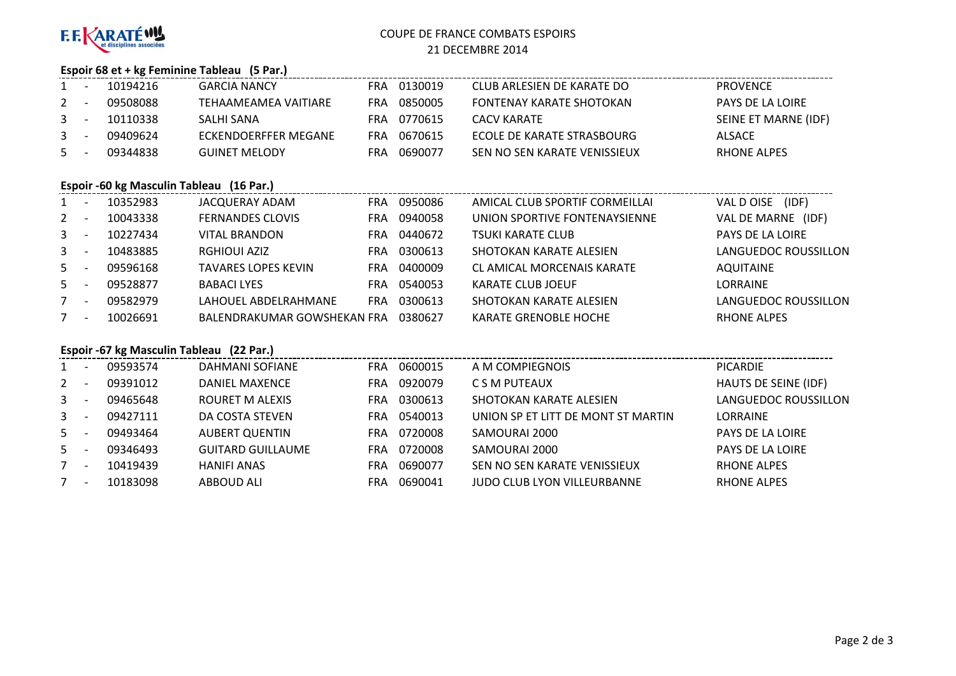

# COUPE DE FRANCE COMBATS ESPOIRS21 DECEMBRE 2014

# **Espoir 68 et + kg Feminine Tableau (5 Par.)**

| 1              | 10194216 | <b>GARCIA NANCY</b>  | FRA | 0130019 | CLUB ARLESIEN DE KARATE DO   | PROVENCE             |
|----------------|----------|----------------------|-----|---------|------------------------------|----------------------|
| $2 -$          | 09508088 | TEHAAMEAMEA VAITIARE | FRA | 0850005 | FONTENAY KARATE SHOTOKAN     | PAYS DE LA LOIRE     |
| $\overline{3}$ | 10110338 | SALHI SANA           | FRA | 0770615 | CACV KARATE                  | SEINE ET MARNE (IDF) |
| $3 - 5$        | 09409624 | ECKENDOERFFER MEGANE | FRA | 0670615 | ECOLE DE KARATE STRASBOURG   | ALSACE               |
| $5 -$          | 09344838 | <b>GUINET MELODY</b> | FRA | 0690077 | SEN NO SEN KARATE VENISSIEUX | RHONE ALPES          |
|                |          |                      |     |         |                              |                      |

# **Espoir -60 kg Masculin Tableau (16 Par.)**

| $\mathbf{1}$   | 10352983 | JACQUERAY ADAM              | <b>FRA</b> | 0950086 | AMICAL CLUB SPORTIF CORMEILLAI | (IDF)<br>VAL D OISE  |
|----------------|----------|-----------------------------|------------|---------|--------------------------------|----------------------|
| 2              | 10043338 | <b>FERNANDES CLOVIS</b>     | FRA        | 0940058 | UNION SPORTIVE FONTENAYSIENNE  | VAL DE MARNE (IDF)   |
| $\mathbf{3}$   | 10227434 | <b>VITAL BRANDON</b>        | FRA        | 0440672 | <b>TSUKI KARATE CLUB</b>       | PAYS DE LA LOIRE     |
| 3 <sup>7</sup> | 10483885 | <b>RGHIOUI AZIZ</b>         | FRA        | 0300613 | SHOTOKAN KARATE ALESIEN        | LANGUEDOC ROUSSILLON |
| 5              | 09596168 | <b>TAVARES LOPES KEVIN</b>  | <b>FRA</b> | 0400009 | CL AMICAL MORCENAIS KARATE     | <b>AQUITAINE</b>     |
| 5              | 09528877 | <b>BABACI LYES</b>          | FRA        | 0540053 | <b>KARATE CLUB JOEUF</b>       | <b>LORRAINE</b>      |
|                | 09582979 | LAHOUEL ABDELRAHMANE        | FRA        | 0300613 | SHOTOKAN KARATE ALESIEN        | LANGUEDOC ROUSSILLON |
| 7              | 10026691 | BALENDRAKUMAR GOWSHEKAN FRA |            | 0380627 | <b>KARATE GRENOBLE HOCHE</b>   | <b>RHONE ALPES</b>   |

# **Espoir -67 kg Masculin Tableau (22 Par.)**

| $1 \quad$    | 09593574 | DAHMANI SOFIANE          | <b>FRA</b> | 0600015 | A M COMPIEGNOIS                    | <b>PICARDIE</b>      |
|--------------|----------|--------------------------|------------|---------|------------------------------------|----------------------|
| $\mathbf{2}$ | 09391012 | <b>DANIEL MAXENCE</b>    | FRA.       | 0920079 | C S M PUTEAUX                      | HAUTS DE SEINE (IDF) |
| $\mathbf{3}$ | 09465648 | ROURET M ALEXIS          | FRA        | 0300613 | SHOTOKAN KARATE ALESIEN            | LANGUEDOC ROUSSILLON |
| $\mathbf{3}$ | 09427111 | DA COSTA STEVEN          | FRA        | 0540013 | UNION SP ET LITT DE MONT ST MARTIN | <b>LORRAINE</b>      |
| $5 -$        | 09493464 | AUBERT QUENTIN           | FRA.       | 0720008 | SAMOURAI 2000                      | PAYS DE LA LOIRE     |
| 5            | 09346493 | <b>GUITARD GUILLAUME</b> | FRA.       | 0720008 | SAMOURAI 2000                      | PAYS DE LA LOIRE     |
|              | 10419439 | <b>HANIFI ANAS</b>       | FRA        | 0690077 | SEN NO SEN KARATE VENISSIEUX       | <b>RHONE ALPES</b>   |
|              | 10183098 | ABBOUD ALI               | FRA        | 0690041 | <b>JUDO CLUB LYON VILLEURBANNE</b> | <b>RHONE ALPES</b>   |
|              |          |                          |            |         |                                    |                      |